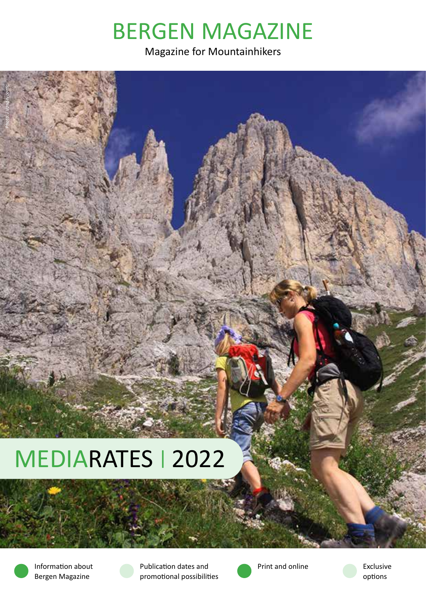# BERGEN MAGAZINE

Magazine for Mountainhikers

# MEDIARATES | 2022



*Photo: J Vandevoorde*

Information about Bergen Magazine





Exclusive options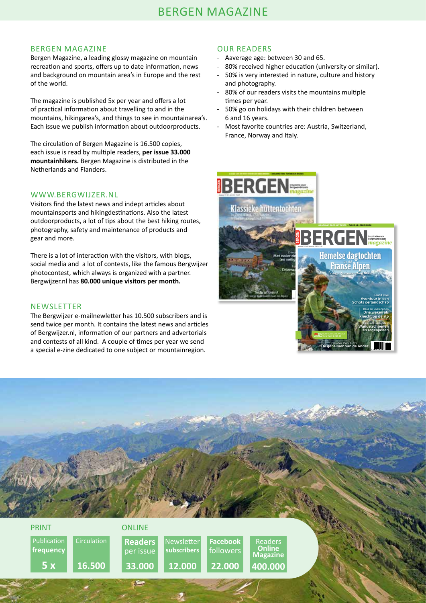### BERGEN MAGAZINE

Bergen Magazine, a leading glossy magazine on mountain recreation and sports, offers up to date information, news and background on mountain area's in Europe and the rest of the world.

The magazine is published 5x per year and offers a lot of practical information about travelling to and in the mountains, hikingarea's, and things to see in mountainarea's. Each issue we publish information about outdoorproducts.

The circulation of Bergen Magazine is 16.500 copies, each issue is read by multiple readers, **per issue 33.000 mountainhikers.** Bergen Magazine is distributed in the Netherlands and Flanders.

### WWW.BERGWIJZER.NL

Visitors find the latest news and indept articles about mountainsports and hikingdestinations. Also the latest outdoorproducts, a lot of tips about the best hiking routes, photography, safety and maintenance of products and gear and more.

There is a lot of interaction with the visitors, with blogs, social media and a lot of contests, like the famous Bergwijzer photocontest, which always is organized with a partner. Bergwijzer.nl has **80.000 unique visitors per month.**

### NEWSLETTER

The Bergwijzer e-mailnewletter has 10.500 subscribers and is send twice per month. It contains the latest news and articles of Bergwijzer.nl, information of our partners and advertorials and contests of all kind. A couple of times per year we send a special e-zine dedicated to one subject or mountainregion.

### OUR READERS

- Aaverage age: between 30 and 65.
- 80% received higher education (university or similar).
- 50% is very interested in nature, culture and history and photography.
- 80% of our readers visits the mountains multiple times per year.
- 50% go on holidays with their children between 6 and 16 years.
- Most favorite countries are: Austria, Switzerland, France, Norway and Italy.



Ecuador, Peru & Chili De geheimen van de Andes

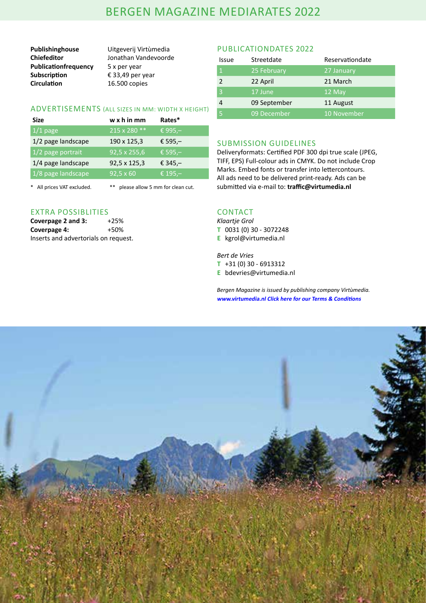## BERGEN MAGAZINE MEDIARATES 2022

**Chiefeditor** Jonathan Vandevoorde **Publicationfrequency** 5 x per year<br>**Subscription** € 33,49 per **Subscription** € 33,49 per year<br>**Circulation** 16.500 copies

**Publishinghouse** Uitgeverij Virtùmedia **Circulation** 16.500 copies

### ADVERTISEMENTS (ALL SIZES IN MM: WIDTH X HEIGHT)

| Size               | $w \times h$ in mm  | Rates*     |
|--------------------|---------------------|------------|
| $1/1$ page         | 215 x 280 **        | € 995,-    |
| 1/2 page landscape | 190 x 125,3         | € 595, $-$ |
| 1/2 page portrait  | $92,5 \times 255,6$ | € 595,-    |
| 1/4 page landscape | 92,5 x 125,3        | € 345, $-$ |
| 1/8 page landscape | $92,5 \times 60$    | € 195,-    |
|                    |                     |            |

\* All prices VAT excluded. \*\* please allow 5 mm for clean cut.

### EXTRA POSSIBLITIES

| Coverpage 2 and 3:                   | $+25%$ |
|--------------------------------------|--------|
| Coverpage 4:                         | +50%   |
| Inserts and advertorials on request. |        |

### PUBLICATIONDATES 2022

| Issue         | Streetdate   | Reservationdate |
|---------------|--------------|-----------------|
|               | 25 February  | 27 January      |
| $\mathcal{P}$ | 22 April     | 21 March        |
|               | 17 June      | 12 May          |
|               | 09 September | 11 August       |
|               | 09 December  | 10 November     |

### SUBMISSION GUIDELINES

Deliveryformats: Certified PDF 300 dpi true scale (JPEG, TIFF, EPS) Full-colour ads in CMYK. Do not include Crop Marks. Embed fonts or transfer into lettercontours. All ads need to be delivered print-ready. Ads can be submitted via e-mail to: **traffic@virtumedia.nl** 

### **CONTACT**

*Klaartje Grol* **T** 0031 (0) 30 - 3072248

**E** kgrol@virtumedia.nl

*Bert de Vries*  **T** +31 (0) 30 - 6913312 **E** bdevries@virtumedia.nl

*Bergen Magazine is issued by publishing company Virtùmedia.* **www.virtumedia.nl Click here for our Terms & Conditions**

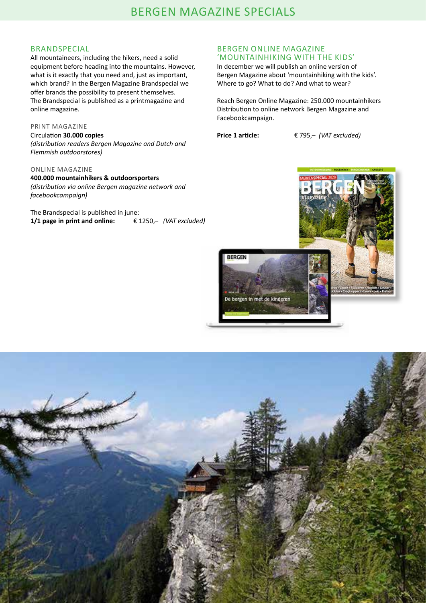### BRANDSPECIAL

All mountaineers, including the hikers, need a solid equipment before heading into the mountains. However, what is it exactly that you need and, just as important, which brand? In the Bergen Magazine Brandspecial we offer brands the possibility to present themselves. The Brandspecial is published as a printmagazine and online magazine.

### PRINT MAGAZINE

Circulation **30.000 copies** *(distribution readers Bergen Magazine and Dutch and Flemmish outdoorstores)* 

### ONLINE MAGAZINE

**400.000 mountainhikers & outdoorsporters** *(distribution via online Bergen magazine network and facebookcampaign)*

The Brandspecial is published in june: **1/1 page in print and online:** € 1250,– *(VAT excluded)*

### BERGEN ONLINE MAGAZINE 'MOUNTAINHIKING WITH THE KIDS'

In december we will publish an online version of Bergen Magazine about 'mountainhiking with the kids'. Where to go? What to do? And what to wear?

Reach Bergen Online Magazine: 250.000 mountainhikers Distribution to online network Bergen Magazine and Facebookcampaign.

**Price 1 article:** € 795,– *(VAT excluded)*